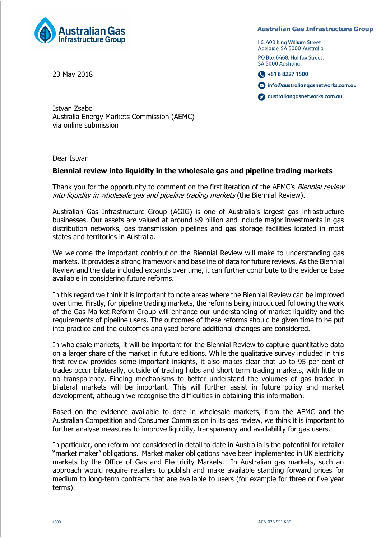

23 May 2018

## **Australian Gas Infrastructure Group**

L6, 400 King William Street Adelaide, SA 5000 Australia

PO Box 6468, Halifax Street, SA 5000 Australia



o info@australiangasnetworks.com.au

australiangasnetworks.com.au

Istvan Zsabo Australia Energy Markets Commission (AEMC) via online submission

Dear Istvan

## **Biennial review into liquidity in the wholesale gas and pipeline trading markets**

Thank you for the opportunity to comment on the first iteration of the AEMC's Biennial review into liquidity in wholesale gas and pipeline trading markets (the Biennial Review).

Australian Gas Infrastructure Group (AGIG) is one of Australia's largest gas infrastructure businesses. Our assets are valued at around \$9 billion and include major investments in gas distribution networks, gas transmission pipelines and gas storage facilities located in most states and territories in Australia.

We welcome the important contribution the Biennial Review will make to understanding gas markets. It provides a strong framework and baseline of data for future reviews. As the Biennial Review and the data included expands over time, it can further contribute to the evidence base available in considering future reforms.

In this regard we think it is important to note areas where the Biennial Review can be improved over time. Firstly, for pipeline trading markets, the reforms being introduced following the work of the Gas Market Reform Group will enhance our understanding of market liquidity and the requirements of pipeline users. The outcomes of these reforms should be given time to be put into practice and the outcomes analysed before additional changes are considered.

In wholesale markets, it will be important for the Biennial Review to capture quantitative data on a larger share of the market in future editions. While the qualitative survey included in this first review provides some important insights, it also makes clear that up to 95 per cent of trades occur bilaterally, outside of trading hubs and short term trading markets, with little or no transparency. Finding mechanisms to better understand the volumes of gas traded in bilateral markets will be important. This will further assist in future policy and market development, although we recognise the difficulties in obtaining this information.

Based on the evidence available to date in wholesale markets, from the AEMC and the Australian Competition and Consumer Commission in its gas review, we think it is important to further analyse measures to improve liquidity, transparency and availability for gas users.

In particular, one reform not considered in detail to date in Australia is the potential for retailer "market maker" obligations. Market maker obligations have been implemented in UK electricity markets by the Office of Gas and Electricity Markets. In Australian gas markets, such an approach would require retailers to publish and make available standing forward prices for medium to long-term contracts that are available to users (for example for three or five year terms).